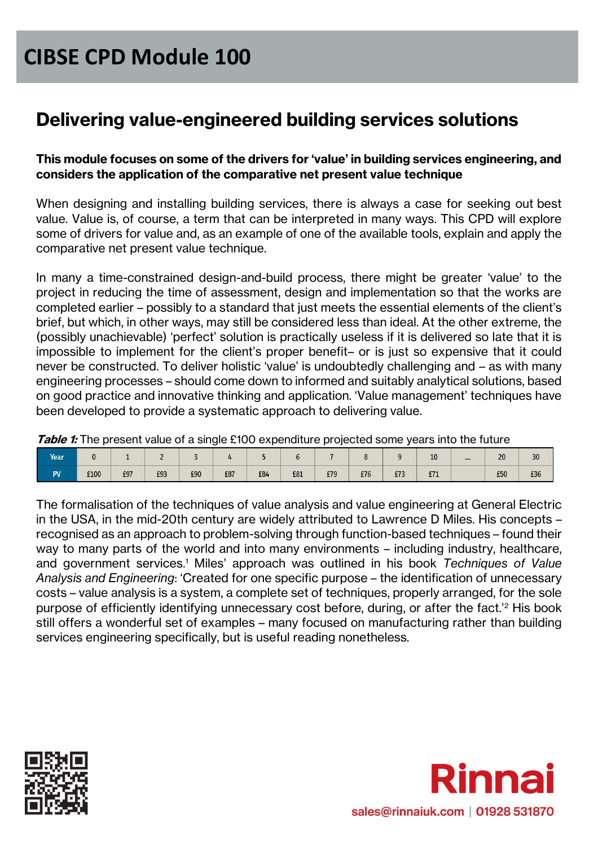### **Delivering value-engineered building services solutions**

#### **This module focuses on some of the drivers for 'value' in building services engineering, and considers the application of the comparative net present value technique**

When designing and installing building services, there is always a case for seeking out best value. Value is, of course, a term that can be interpreted in many ways. This CPD will explore some of drivers for value and, as an example of one of the available tools, explain and apply the comparative net present value technique.

In many a time-constrained design-and-build process, there might be greater 'value' to the project in reducing the time of assessment, design and implementation so that the works are completed earlier – possibly to a standard that just meets the essential elements of the client's brief, but which, in other ways, may still be considered less than ideal. At the other extreme, the (possibly unachievable) 'perfect' solution is practically useless if it is delivered so late that it is impossible to implement for the client's proper benefit– or is just so expensive that it could never be constructed. To deliver holistic 'value' is undoubtedly challenging and – as with many engineering processes – should come down to informed and suitably analytical solutions, based on good practice and innovative thinking and application. 'Value management' techniques have been developed to provide a systematic approach to delivering value.

**Table 1:** The present value of a single £100 expenditure projected some years into the future

| Year             |      |     |     |     |     |     |     |     |     |                   | 10  | <br>20 | 30  |
|------------------|------|-----|-----|-----|-----|-----|-----|-----|-----|-------------------|-----|--------|-----|
| <b>DV</b><br>. . | £100 | £97 | £93 | £90 | £87 | £84 | £81 | £79 | £76 | C72<br><b>IIJ</b> | £71 | £50    | £36 |

The formalisation of the techniques of value analysis and value engineering at General Electric in the USA, in the mid-20th century are widely attributed to Lawrence D Miles. His concepts – recognised as an approach to problem-solving through function-based techniques – found their way to many parts of the world and into many environments – including industry, healthcare, and government services.<sup>1</sup> Miles' approach was outlined in his book *Techniques of Value Analysis and Engineering*: 'Created for one specific purpose – the identification of unnecessary costs – value analysis is a system, a complete set of techniques, properly arranged, for the sole purpose of efficiently identifying unnecessary cost before, during, or after the fact.'<sup>2</sup> His book still offers a wonderful set of examples – many focused on manufacturing rather than building services engineering specifically, but is useful reading nonetheless.



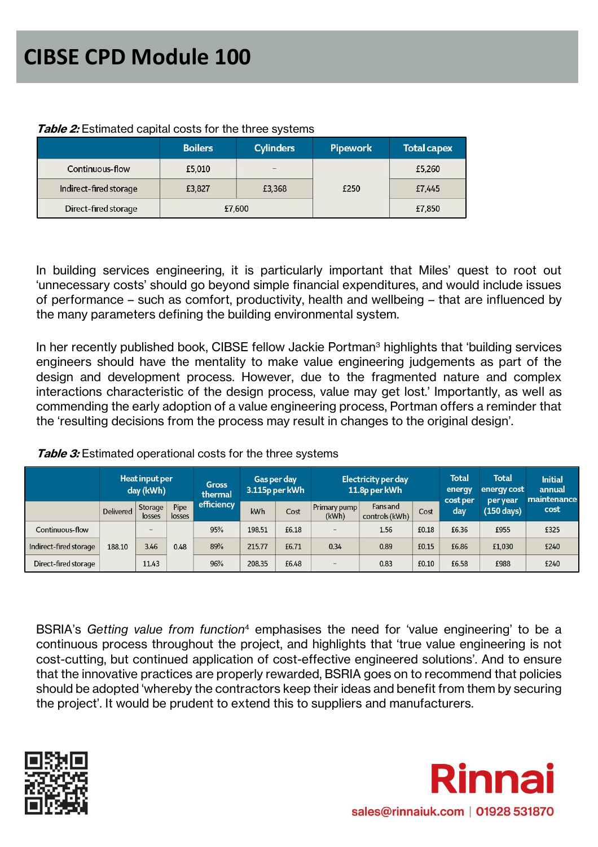|                        | <b>Boilers</b> | <b>Cylinders</b>         | Pipework | <b>Total capex</b> |  |
|------------------------|----------------|--------------------------|----------|--------------------|--|
| Continuous-flow        | £5,010         | $\overline{\phantom{0}}$ |          | £5,260             |  |
| Indirect-fired storage | £3,827         | £3,368                   |          | £7,445             |  |
| Direct-fired storage   |                | £7,600                   |          | £7,850             |  |

#### **Table 2:** Estimated capital costs for the three systems

In building services engineering, it is particularly important that Miles' quest to root out 'unnecessary costs' should go beyond simple financial expenditures, and would include issues of performance – such as comfort, productivity, health and wellbeing – that are influenced by the many parameters defining the building environmental system.

In her recently published book, CIBSE fellow Jackie Portman<sup>3</sup> highlights that 'building services engineers should have the mentality to make value engineering judgements as part of the design and development process. However, due to the fragmented nature and complex interactions characteristic of the design process, value may get lost.' Importantly, as well as commending the early adoption of a value engineering process, Portman offers a reminder that the 'resulting decisions from the process may result in changes to the original design'.

|                        | Heat input per<br>day (kWh) |                          |                | <b>Gas per day</b><br><b>Gross</b><br>3.115p per kWh<br>thermal |        | <b>Electricity per day</b><br>11.8p per kWh |                       |                            | Total<br>energy<br>cost per | <b>Total</b><br>energy cost<br>per year | <b>Initial</b><br>annual<br>maintenance |      |
|------------------------|-----------------------------|--------------------------|----------------|-----------------------------------------------------------------|--------|---------------------------------------------|-----------------------|----------------------------|-----------------------------|-----------------------------------------|-----------------------------------------|------|
|                        | <b>Delivered</b>            | Storage<br>losses        | Pipe<br>losses | efficiency                                                      | kWh    | Cost                                        | Primary pump<br>(kWh) | Fans and<br>controls (kWh) | Cost                        | day                                     | $(150 \text{ days})$                    | cost |
| Continuous-flow        |                             | $\overline{\phantom{0}}$ |                | 95%                                                             | 198.51 | £6.18                                       | $\qquad \qquad -$     | 1.56                       | £0.18                       | £6.36                                   | £955                                    | £325 |
| Indirect-fired storage | 188.10                      | 3.46                     | 0.48           | 89%                                                             | 215.77 | £6.71                                       | 0.34                  | 0.89                       | £0.15                       | £6.86                                   | £1.030                                  | £240 |
| Direct-fired storage   |                             | 11.43                    |                | 96%                                                             | 208.35 | £6.48                                       | -                     | 0.83                       | £0.10                       | £6.58                                   | £988                                    | £240 |

**Table 3:** Estimated operational costs for the three systems

BSRIA's *Getting value from function*<sup>4</sup> emphasises the need for 'value engineering' to be a continuous process throughout the project, and highlights that 'true value engineering is not cost-cutting, but continued application of cost-effective engineered solutions'. And to ensure that the innovative practices are properly rewarded, BSRIA goes on to recommend that policies should be adopted 'whereby the contractors keep their ideas and benefit from them by securing the project'. It would be prudent to extend this to suppliers and manufacturers.



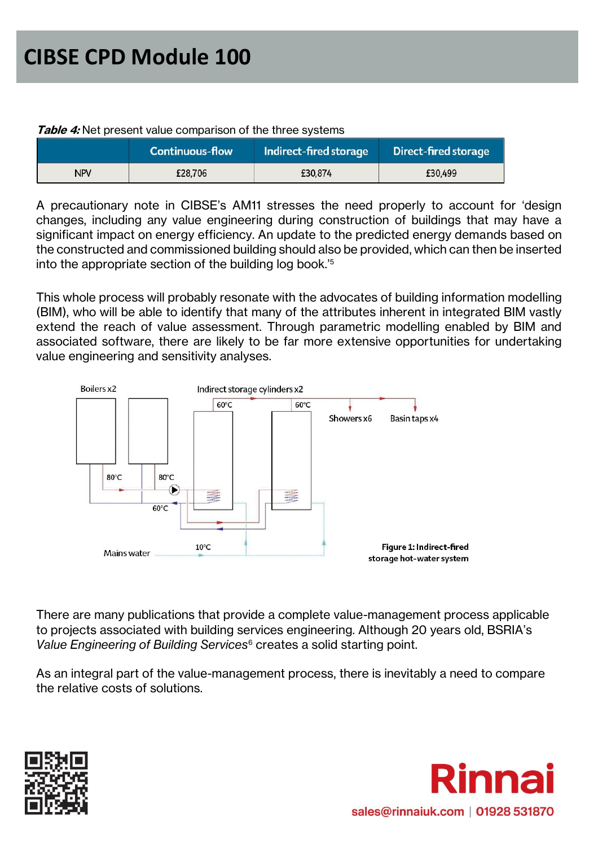|            | <b>Continuous-flow</b> | Indirect-fired storage | <b>Direct-fired storage</b> |
|------------|------------------------|------------------------|-----------------------------|
| <b>NPV</b> | £28,706                | £30,874                | £30,499                     |

#### **Table 4:** Net present value comparison of the three systems

A precautionary note in CIBSE's AM11 stresses the need properly to account for 'design changes, including any value engineering during construction of buildings that may have a significant impact on energy efficiency. An update to the predicted energy demands based on the constructed and commissioned building should also be provided, which can then be inserted into the appropriate section of the building log book.'<sup>5</sup>

This whole process will probably resonate with the advocates of building information modelling (BIM), who will be able to identify that many of the attributes inherent in integrated BIM vastly extend the reach of value assessment. Through parametric modelling enabled by BIM and associated software, there are likely to be far more extensive opportunities for undertaking value engineering and sensitivity analyses.



There are many publications that provide a complete value-management process applicable to projects associated with building services engineering. Although 20 years old, BSRIA's *Value Engineering of Building Services*<sup>6</sup> creates a solid starting point.

As an integral part of the value-management process, there is inevitably a need to compare the relative costs of solutions.



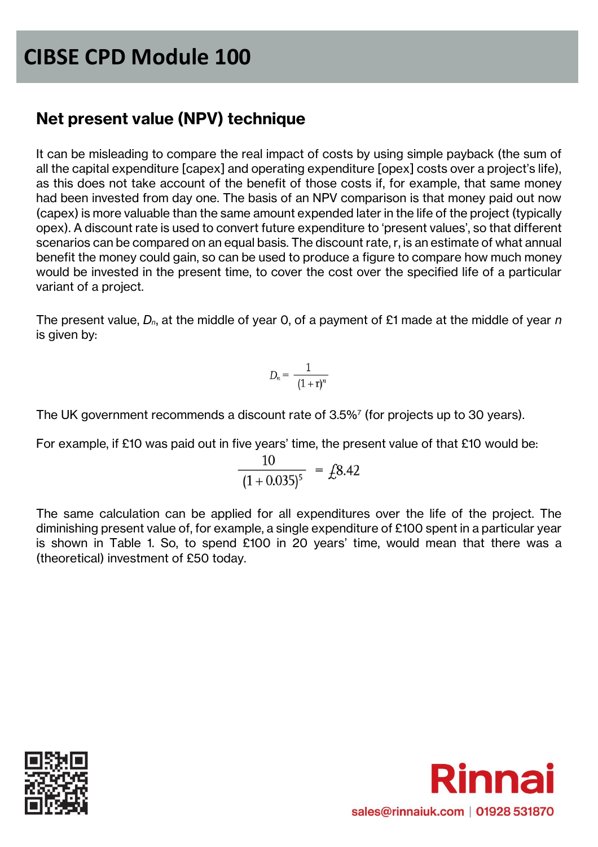### **Net present value (NPV) technique**

It can be misleading to compare the real impact of costs by using simple payback (the sum of all the capital expenditure [capex] and operating expenditure [opex] costs over a project's life), as this does not take account of the benefit of those costs if, for example, that same money had been invested from day one. The basis of an NPV comparison is that money paid out now (capex) is more valuable than the same amount expended later in the life of the project (typically opex). A discount rate is used to convert future expenditure to 'present values', so that different scenarios can be compared on an equal basis. The discount rate, r, is an estimate of what annual benefit the money could gain, so can be used to produce a figure to compare how much money would be invested in the present time, to cover the cost over the specified life of a particular variant of a project.

The present value, *Dn*, at the middle of year 0, of a payment of £1 made at the middle of year *n* is given by:

$$
D_n = \frac{1}{(1+r)^n}
$$

The UK government recommends a discount rate of 3.5%<sup>7</sup> (for projects up to 30 years).

For example, if £10 was paid out in five years' time, the present value of that £10 would be:

$$
\frac{10}{(1+0.035)^5} = \text{\textsterling}8.42
$$

The same calculation can be applied for all expenditures over the life of the project. The diminishing present value of, for example, a single expenditure of £100 spent in a particular year is shown in Table 1. So, to spend £100 in 20 years' time, would mean that there was a (theoretical) investment of £50 today.



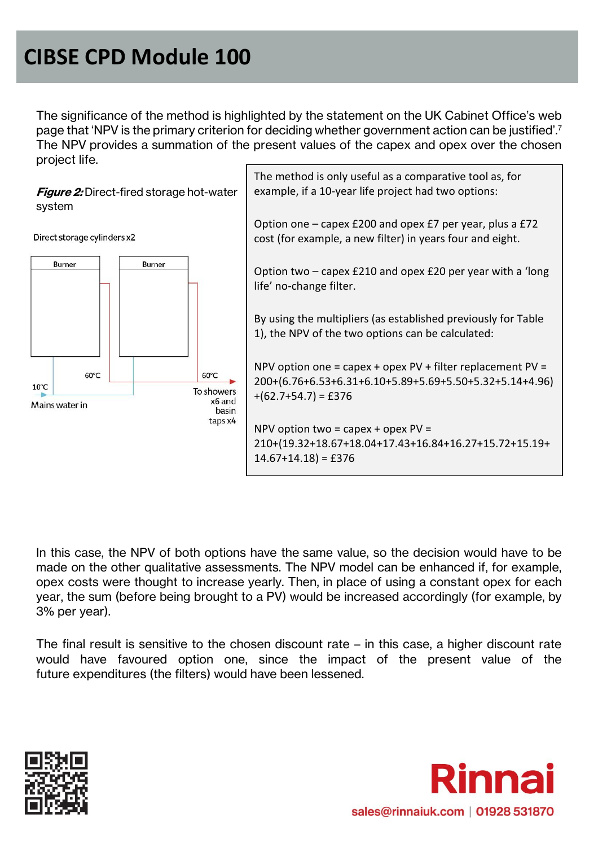The significance of the method is highlighted by the statement on the UK Cabinet Office's web page that 'NPV is the primary criterion for deciding whether government action can be justified'.<sup>7</sup> The NPV provides a summation of the present values of the capex and opex over the chosen project life.

**Figure 2:** Direct-fired storage hot-water system

Direct storage cylinders x2



The method is only useful as a comparative tool as, for example, if a 10-year life project had two options:

Option one – capex £200 and opex £7 per year, plus a £72 cost (for example, a new filter) in years four and eight.

Option two – capex £210 and opex £20 per year with a 'long life' no-change filter.

By using the multipliers (as established previously for Table 1), the NPV of the two options can be calculated:

NPV option one = capex + opex PV + filter replacement PV = 200+(6.76+6.53+6.31+6.10+5.89+5.69+5.50+5.32+5.14+4.96)  $+(62.7+54.7) = £376$ 

NPV option two = capex + opex  $PV =$ 210+(19.32+18.67+18.04+17.43+16.84+16.27+15.72+15.19+  $14.67+14.18$  = £376

In this case, the NPV of both options have the same value, so the decision would have to be made on the other qualitative assessments. The NPV model can be enhanced if, for example, opex costs were thought to increase yearly. Then, in place of using a constant opex for each year, the sum (before being brought to a PV) would be increased accordingly (for example, by 3% per year).

The final result is sensitive to the chosen discount rate – in this case, a higher discount rate would have favoured option one, since the impact of the present value of the future expenditures (the filters) would have been lessened.



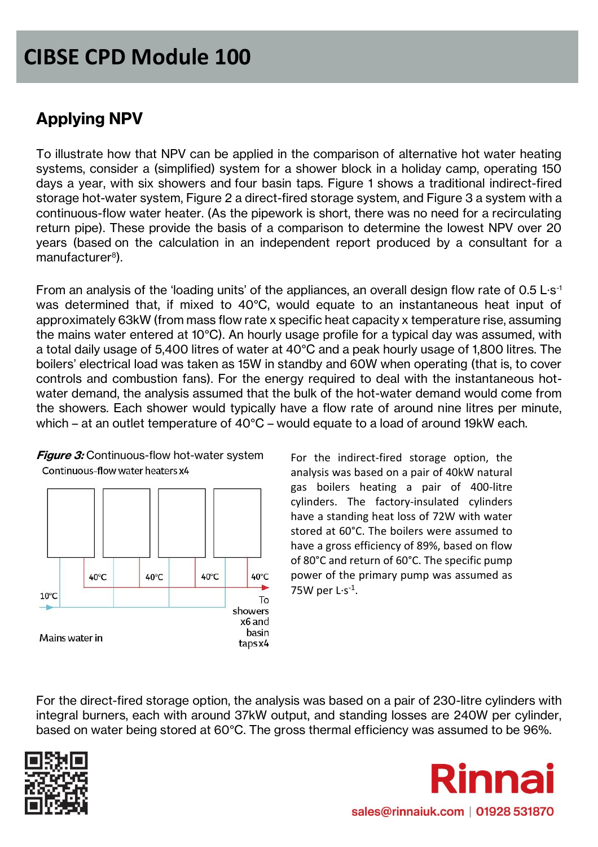### **Applying NPV**

To illustrate how that NPV can be applied in the comparison of alternative hot water heating systems, consider a (simplified) system for a shower block in a holiday camp, operating 150 days a year, with six showers and four basin taps. Figure 1 shows a traditional indirect-fired storage hot-water system, Figure 2 a direct-fired storage system, and Figure 3 a system with a continuous-flow water heater. (As the pipework is short, there was no need for a recirculating return pipe). These provide the basis of a comparison to determine the lowest NPV over 20 years (based on the calculation in an independent report produced by a consultant for a manufacturer<sup>8</sup>).

From an analysis of the 'loading units' of the appliances, an overall design flow rate of 0.5 L·s<sup>-1</sup> was determined that, if mixed to 40°C, would equate to an instantaneous heat input of approximately 63kW (from mass flow rate x specific heat capacity x temperature rise, assuming the mains water entered at 10°C). An hourly usage profile for a typical day was assumed, with a total daily usage of 5,400 litres of water at 40°C and a peak hourly usage of 1,800 litres. The boilers' electrical load was taken as 15W in standby and 60W when operating (that is, to cover controls and combustion fans). For the energy required to deal with the instantaneous hotwater demand, the analysis assumed that the bulk of the hot-water demand would come from the showers. Each shower would typically have a flow rate of around nine litres per minute, which – at an outlet temperature of 40°C – would equate to a load of around 19kW each.



40°C

40°C

40°C

To showers x6 and basin

taps x4

40°C

**Figure 3:** Continuous-flow hot-water system Continuous-flow water heaters x4

For the indirect-fired storage option, the analysis was based on a pair of 40kW natural gas boilers heating a pair of 400-litre cylinders. The factory-insulated cylinders have a standing heat loss of 72W with water stored at 60°C. The boilers were assumed to have a gross efficiency of 89%, based on flow of 80°C and return of 60°C. The specific pump power of the primary pump was assumed as 75W per  $L·s<sup>-1</sup>$ .

For the direct-fired storage option, the analysis was based on a pair of 230-litre cylinders with integral burners, each with around 37kW output, and standing losses are 240W per cylinder, based on water being stored at 60°C. The gross thermal efficiency was assumed to be 96%.



 $10^{\circ}$ C

Mains water in

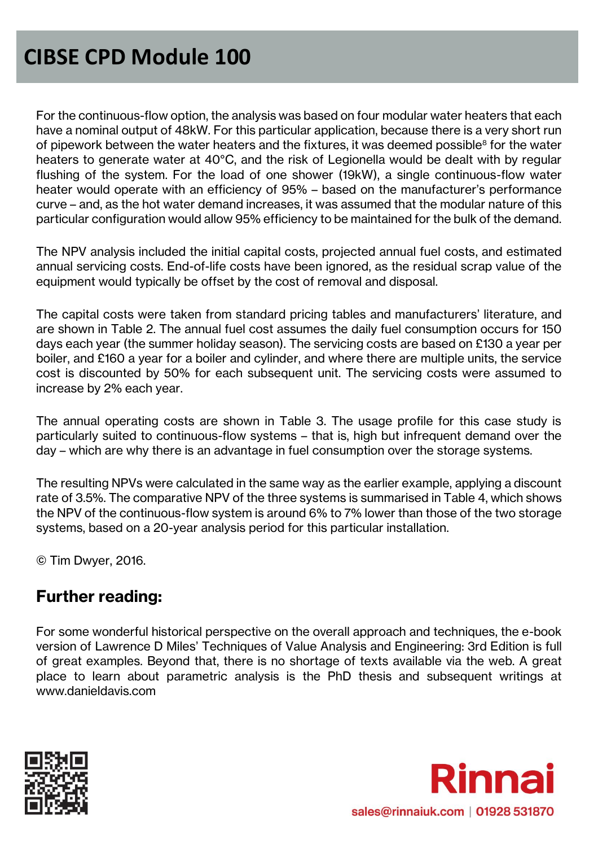For the continuous-flow option, the analysis was based on four modular water heaters that each have a nominal output of 48kW. For this particular application, because there is a very short run of pipework between the water heaters and the fixtures, it was deemed possible<sup>8</sup> for the water heaters to generate water at 40°C, and the risk of Legionella would be dealt with by regular flushing of the system. For the load of one shower (19kW), a single continuous-flow water heater would operate with an efficiency of 95% – based on the manufacturer's performance curve – and, as the hot water demand increases, it was assumed that the modular nature of this particular configuration would allow 95% efficiency to be maintained for the bulk of the demand.

The NPV analysis included the initial capital costs, projected annual fuel costs, and estimated annual servicing costs. End-of-life costs have been ignored, as the residual scrap value of the equipment would typically be offset by the cost of removal and disposal.

The capital costs were taken from standard pricing tables and manufacturers' literature, and are shown in Table 2. The annual fuel cost assumes the daily fuel consumption occurs for 150 days each year (the summer holiday season). The servicing costs are based on £130 a year per boiler, and £160 a year for a boiler and cylinder, and where there are multiple units, the service cost is discounted by 50% for each subsequent unit. The servicing costs were assumed to increase by 2% each year.

The annual operating costs are shown in Table 3. The usage profile for this case study is particularly suited to continuous-flow systems – that is, high but infrequent demand over the day – which are why there is an advantage in fuel consumption over the storage systems.

The resulting NPVs were calculated in the same way as the earlier example, applying a discount rate of 3.5%. The comparative NPV of the three systems is summarised in Table 4, which shows the NPV of the continuous-flow system is around 6% to 7% lower than those of the two storage systems, based on a 20-year analysis period for this particular installation.

© Tim Dwyer, 2016.

### **Further reading:**

For some wonderful historical perspective on the overall approach and techniques, the e-book version of Lawrence D Miles' Techniques of Value Analysis and Engineering: 3rd Edition is full of great examples. Beyond that, there is no shortage of texts available via the web. A great place to learn about parametric analysis is the PhD thesis and subsequent writings at www.danieldavis.com